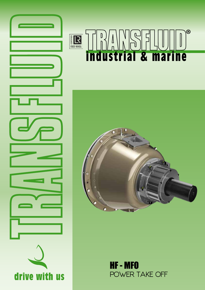

# $\overline{\Theta}$ E<br>E<br>ISO 9001 industrial & marine



HF - MFO POWER TAKE OFF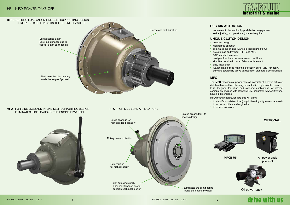Eliminates the pilot bearing inside the engine flywheel

# industrial & marino



- compact design
- high torque capacity
- eliminates the engine flywheel pilot bearing (HFO)
- no side load on flywheel (HFR and MFO)
- SAE standard interface
- dust proof for harsh environmental conditions
- simplified service in case of discs replacement • easy installation
- Kevlar friction discs (with the exception of HFR210) for heavy duty and torsionally active applications, standard discs available

# **OIL / AIR ACTUATION**

• remote control operation by push button engagement • self adjusting; no operator adjustment required

# **UNIQUE CLUTCH DESIGN**

# **OPTIONAL:**



- MFO mechanical power take-offs will allow:
- to simplify installation time (no pilot bearing alignement required) • to increase uptime and engine life
- to reduce inventory





The **MFO** mechanical power take-off consists of a lever actuated clutch with a shaft and bearings mounted in a rigid cast housing. It is designed for inline and sideload applications for internal combustion engines with standard SAE industrial flywheel/flywheel housing dimensions.

MPCB R5



Oil power pack

# drive with us

# Air power pack up to - 5°C

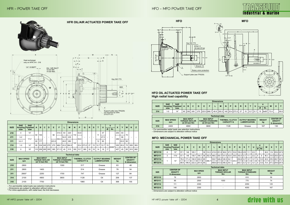# HFR - POWER TAKE OFF HET IN THE STATE OF THE HEATHER TAKE OFF HEATHER TAKE OFF HEATHER TAKE OFF



– For permissible radial loads see selection instructions

– Dimensions are subject to alteration without notice

\* For inline applications, with radial load, the limit decreases

# **HFO OIL ACTUATED POWER TAKE OFF High radial load capability**

– For permissible radial loads see selection instructions – Dimensions are subject to alteration without notice

– Dimensions are subject to alteration without notice

# industrial & marine



# drive with us

# **MFO: MECHANICAL POWER TAKE OFF**

|             | <b>Dimensions</b> |                                |              |                 |                          |             |       |                  |      |     |     |      |                          |             |                          |      |      |    |              |     |      |    |     |     |
|-------------|-------------------|--------------------------------|--------------|-----------------|--------------------------|-------------|-------|------------------|------|-----|-----|------|--------------------------|-------------|--------------------------|------|------|----|--------------|-----|------|----|-----|-----|
| <b>SIZE</b> | <b>SAE</b>        | <b>SAE</b><br>Housing Flywheel | $\mathbf{A}$ | B               | C                        | D           | Е     | F                |      | M   | N   | P    | Q                        | $\mathbb R$ | <b>S</b>                 | т    | U    |    | v            | X   | Υ    | W  | K   |     |
|             | size              | size                           |              |                 |                          |             |       |                  | н    |     |     |      |                          |             |                          |      |      | Ø  | Nr.          |     |      |    |     |     |
| 210         | 4                 | 10"                            | 60           | 155             |                          |             | 90    | 314.3            | 63   | 220 | 110 | 53.8 |                          |             |                          | 11   | 47   |    |              | 254 | 83   | 70 |     |     |
| 211         | $3 - 2$           | $11\frac{1}{2}$                |              |                 | $\overline{\phantom{0}}$ |             |       | 352.4            | 54.5 | 235 |     | 39.6 | $\overline{\phantom{0}}$ | -           | $\overline{\phantom{0}}$ |      | 47.5 |    |              | 289 | 68   |    | -   |     |
| 311         | $3 - 2 - 1$       |                                | 80           | 177             |                          |             | 223.5 |                  | 49.5 | 280 | 140 |      |                          |             |                          | 12   | 80   |    |              |     | 63.5 | 90 |     |     |
| 314         | $1 - 0$           | 14"                            | 90           |                 |                          | 234 245 275 | 270   | 466.7 43.2 384.8 |      |     |     |      | 25.4 273.3               | 27          | 15                       | 12.7 | 12.7 | 15 | $\pm 6$ X60° | 355 | 45.2 | 75 | 650 | 563 |
| 318         | 0                 | 18"                            |              | 110 258 265 305 |                          |             | 385   | 571.5            | 40   | 515 | 180 | 15.7 | 380                      | 32          | 18                       | 14   | 16   | 17 |              | 457 | 45   | 85 | 810 | 662 |

|             | <b>Technical data</b>   |                                                            |                                                              |                                            |                                               |                     |                                                          |  |  |  |  |
|-------------|-------------------------|------------------------------------------------------------|--------------------------------------------------------------|--------------------------------------------|-----------------------------------------------|---------------------|----------------------------------------------------------|--|--|--|--|
| <b>SIZE</b> | <b>MAX SPEED</b><br>rpm | <b>MAX INPUT</b><br><b>TORQUE KEVLAR</b><br>(at 12 bar) Nm | <b>MAX INPUT</b><br><b>TORQUE STANDARD</b><br>(at 12 bar) Nm | <b>THERMAL CLUTCH</b><br><b>CAPACITY Q</b> | <b>OUTPUT BEARING</b><br><b>LUBRIFICATION</b> | <b>WEIGHT</b><br>kg | <b>CENTER OF</b><br><b>GRAVITY</b><br><b>G</b> dimension |  |  |  |  |
| 210         | 2800                    | $\overline{\phantom{a}}$                                   | 1300                                                         | 517                                        | Grease                                        | 63                  | 48                                                       |  |  |  |  |
| 211         | 2800                    | 1400                                                       | $\overline{\phantom{0}}$                                     | 514                                        | Grease                                        | 78                  | 54                                                       |  |  |  |  |
| 311         | 2800*                   | 2250                                                       | 1700                                                         | 747                                        | Grease                                        | 127                 | 84                                                       |  |  |  |  |
| 314         | 2100                    | 4900                                                       | 3600                                                         | 1128                                       | Oil                                           | 206                 | 137                                                      |  |  |  |  |
| 318         | 2100                    | 7750                                                       | $\overline{\phantom{0}}$                                     | 1980                                       | Oil                                           | 368                 | 155                                                      |  |  |  |  |

|             | <b>Technical data</b>   |                                                            |                                                              |                                            |                                               |                     |                                                          |  |  |  |
|-------------|-------------------------|------------------------------------------------------------|--------------------------------------------------------------|--------------------------------------------|-----------------------------------------------|---------------------|----------------------------------------------------------|--|--|--|
| <b>SIZE</b> | <b>MAX SPEED</b><br>rpm | <b>MAX INPUT</b><br><b>TORQUE KEVLAR</b><br>(at 25 bar) Nm | <b>MAX INPUT</b><br><b>TORQUE STANDARD</b><br>(at 25 bar) Nm | <b>THERMAL CLUTCH</b><br><b>CAPACITY Q</b> | <b>OUTPUT BEARING</b><br><b>LUBRIFICATION</b> | <b>WEIGHT</b><br>kg | <b>CENTER OF</b><br><b>GRAVITY</b><br><b>G</b> dimension |  |  |  |
| 314         | 2400                    | 4900                                                       | 3600                                                         | 1128                                       | Grease                                        | 167                 | 130                                                      |  |  |  |



| <b>Technical data</b> |                                                          |                         |                                                       |                                                  |                     |  |  |  |  |
|-----------------------|----------------------------------------------------------|-------------------------|-------------------------------------------------------|--------------------------------------------------|---------------------|--|--|--|--|
| <b>SIZE</b>           | <b>CENTER OF</b><br><b>GRAVITY</b><br><b>G</b> dimension | <b>MAX SPEED</b><br>rpm | <b>MAX INPUT</b><br><b>TORQUE KEVLAR</b><br><b>Nm</b> | <b>MAX INPUT</b><br><b>TORQUE STANDARD</b><br>Nm | <b>WEIGHT</b><br>kg |  |  |  |  |
| <b>MFO110</b>         | 78                                                       | 2800                    | $\overline{\phantom{0}}$                              | 610                                              | 56                  |  |  |  |  |
| <b>MFO111</b>         | 86                                                       | 2500                    | 1000                                                  | 770                                              | 74                  |  |  |  |  |
| <b>MFO114</b>         | 111                                                      | 2300                    | $\overline{\phantom{0}}$                              | 2050                                             | 125                 |  |  |  |  |
| <b>MFO214</b>         | 148                                                      | 2300                    |                                                       | 4050                                             | 167                 |  |  |  |  |

|             | <b>Dimensions</b> |                                  |    |     |     |     |             |  |      |       |     |  |            |    |    |      |      |    |              |      |                  |      |
|-------------|-------------------|----------------------------------|----|-----|-----|-----|-------------|--|------|-------|-----|--|------------|----|----|------|------|----|--------------|------|------------------|------|
| <b>SIZE</b> | <b>SAE</b>        | <b>SAE</b><br>Housing   Flywheel | А  | в   |     |     |             |  |      |       | N   |  |            |    |    |      |      |    |              | W    |                  |      |
|             | size              | size                             |    |     |     | ш   |             |  |      | ΙVΙ   |     |  |            |    |    |      |      | Ø  | Nr.          |      | $\boldsymbol{r}$ |      |
| 314         |                   | 14"                              | 90 | 236 | 245 | 275 | 225.5 466.7 |  | 49.9 | 350.3 | 140 |  | 25.4 273.3 | 27 | 15 | 12.7 | ' 31 | 15 | $6x60^\circ$ | 73.4 |                  | 56.8 |

|               | <b>Dimensions</b> |                                  |      |       |       |          |    |                                      |                              |   |              |      |      |                     |      |      |      |   |        |      |                    |  |             |
|---------------|-------------------|----------------------------------|------|-------|-------|----------|----|--------------------------------------|------------------------------|---|--------------|------|------|---------------------|------|------|------|---|--------|------|--------------------|--|-------------|
| <b>SIZE</b>   | <b>SAE</b>        | <b>SAE</b><br>Housing   Flywheel |      | в     | С     | D        | Е  | Е                                    |                              | M | <sup>N</sup> | Ο    | D    | Q                   | S    |      |      |   |        | W    | X                  |  |             |
|               | size              | size                             | А    |       |       |          |    |                                      |                              |   |              |      |      |                     |      |      |      | Ø | Nr.    |      |                    |  |             |
| <b>MFO110</b> | 4                 | 10"                              | 57.1 | 146   | 165.1 |          |    | 58 314.3 415.9 251.6                 |                              |   | 96.8         | 67.5 | 53.8 | 159.4 9.53          |      | 11.  | 22.2 |   | $\sim$ | 66.8 | 314                |  | 255.6 247.6 |
| <b>MFO111</b> | 3                 | $11\frac{1}{2}$                  | 57.7 | 146   | 158.7 | 184.1    | 58 | 352.4   466.2   300.7   101.6   63.9 |                              |   |              |      |      | 39.6   183.4   12.7 |      | 11.1 | 22.2 | 6 | 9      | 96.3 | 314.9 255.6 247.6  |  |             |
| <b>MFO114</b> |                   | 14"                              | 76.2 | 171.4 | 190.5 | 222.2 85 |    |                                      | 530.7 348.4 128.3 54.1       |   |              |      |      | 250.8 12.7          |      | 12.7 | 12.7 | 6 | 13.5   | 65.9 | 476.5 263.7 247.6  |  |             |
| <b>MFO214</b> |                   |                                  | 88.9 | 196.8 | 222.2 | 251.6 85 |    | 466.7                                | 656.8   413.5   189.3   54.1 |   |              |      | 25.4 | 403.1               | 12.7 | 12.7 | 12.7 | 6 | 13.5   | 75.4 | 1477.21254.81247.6 |  |             |

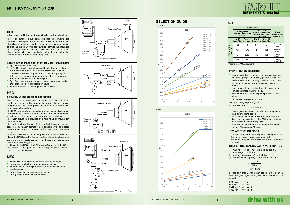#### Tab. **1**

# **SELECTION GUIDE**

## **STEP 2 - THERMAL CAPACITY VERIFICATION**

0.746 kW 25.4 mm 0.042 kgm<sup>2</sup> = 1 lbs  $\cdot$  ft<sup>2</sup> 1.356 Nm  $= 1$  lbs  $\cdot$  ft  $= 1$  hp  $= 1$  inch

# drive with us

- T : max input torque (Nm) see table pages 3 & 4
- $J$  : inertia (kgm2) = GD2 /4
- t : starting time (seconds) actual slip
- Q : thermal clutch capacity see table pages 3 & 4

In case of higher Q value than stated in the technical data table (see pages 3 & 4), size of the clutch has to be revised.

- PTO engagement has to be performed at approximate engine idling speed.
- Interval between starts should be 1 hour minimum (fluid coupling mounted on the PTO output shaft allows 3 starts/hour evenly spaced).
- For other technical information, consult the Installation and Maintenance Manual.
- Uniform load: fluid coupling, marine propulsion, fan, centrifugal pump, compressor, generator, water jet.
- Moderate shock: road milling machine, cone crusher, volumetric pump, snow blower, drill, pump for dredge.
- Heavy shock 1: jaw crusher, impactor, wood chipper, shredder, grinder, hammer mills.
- Heavy shock 2: reciprocating compressor, piston pumps.
- F : application factor (see Tab. **1**)
- kW : gross engine power (kW)

n : speed (rpm)

$$
\mathsf{P} = \mathsf{k}\mathsf{W}\bullet\mathsf{F}
$$

- By customer hydraulic circuit
- By MPCB R5 with hydraulic control block, through continuous monitoring of some parameters proper transmission operation is assured. Any abnormal condition is promptly detected and countermeasures quickly enforced to protect the transmission as well as the engine
- By oil/air power pack: a compact power system which delivers either oil or air with suitable pressure
- By MPCB R5 with oil power pack only for HFO

### **KEVLAR FRICTION DISCS:**

For heavy duty and torsionally agressive applications, the use of Kevlar discs is recommended. For side load applications HFR with Kevlar discs must be used.

The clutch actuation is provided by a rotating union mounted in the output shaft

$$
t = \frac{J \cdot n}{9.55 \cdot T}
$$
  

$$
kW \cdot t \le Q
$$

## **STEP 1 - QUICK SELECTION**

# **HFR**

## **oil/air supply 12 bar in-line and side load application**

The HFR clutches have been designed to complete the TRANSFLUID range of power take offs for new potential markets. The oil-air actuation is provided by oil or air radial inlet instead of axial as the HFO: this configuration permits the mounting of couplings and/or cardan shafts on the output shaft. The actuation oil or air is controlled externally and enters the clutch radially directly into the bearing carrier.

### **Control and management of the HFO-HFR equipment:**

# **HFO**

### **oil supply 25 bar side load application**

The HFO clutches have been developed by TRANSFLUID to meet the growing market demand for power take offs applied to high speed, high horse power industrial engines and having remote control operation.

The HFO consists of an oil actuated clutch assembly (dry plates) with a shaft and bearings suitable for high side loads mounted in a cast iron housing that provides easy engine installation.

This system allows the use of HFO for belt driven applications only. The oil actuation permits remote control as well as a larger transmittable torque compared to the traditional overcenter PTOs.

In addition, due to the continuous pressure applied to the clutch plates, the HFO is a self adjusting clutch which drastically reduces the maintenance costs especially on heavy duty applications where plate wear is typical.

Additional to the HFO is the HFF design (flanged shaft by QD). This model is designed for road milling machines where a compact layout is required.

# **MFO**

- No installation related engine thrust bearing damage
- Equipment with ball-bearing engagement collars
- No direct loading to engine crankshaft enhances life of engine bearings
- Dual spherical roller main bearing design
- Driving rings are nodular iron or steel

\* According to AGMA standard



|                          |                                      |                | <b>PRIME OVER</b>                                                               |                                                 |                   |  |
|--------------------------|--------------------------------------|----------------|---------------------------------------------------------------------------------|-------------------------------------------------|-------------------|--|
|                          | <b>Internal combustion</b><br>engine | Multi cylinder | Multi cylinder<br><b>Internal combustion</b><br>engine with high<br>torque rise | <b>Driven</b><br>machine load<br>classification |                   |  |
|                          | <b>Up 10</b><br>hours/day hours/day  | Over 10        | <b>Up 10</b><br>hours/day   hours/day                                           | Over 10                                         |                   |  |
|                          | 1.25<br>1.5                          |                | 1.75                                                                            | 2                                               | Uniform<br>load   |  |
| APPLICATION<br>FACTOR F* | 1.5                                  | 1.75           | 2                                                                               | 2.25                                            | Moderate<br>shock |  |
|                          | $\overline{2}$                       | 2.25           | 2.5                                                                             | 2.75                                            | Heavy<br>shock 1  |  |
|                          | 2.25                                 | 2.5            | 2.75                                                                            | 3                                               | Heavy<br>shock 2  |  |